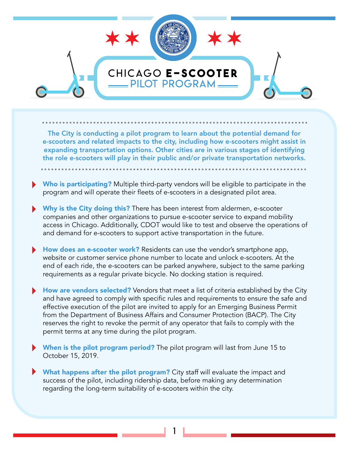

The City is conducting a pilot program to learn about the potential demand for e-scooters and related impacts to the city, including how e-scooters might assist in expanding transportation options. Other cities are in various stages of identifying the role e-scooters will play in their public and/or private transportation networks.

- Who is participating? Multiple third-party vendors will be eligible to participate in the program and will operate their fleets of e-scooters in a designated pilot area.
- Why is the City doing this? There has been interest from aldermen, e-scooter companies and other organizations to pursue e-scooter service to expand mobility access in Chicago. Additionally, CDOT would like to test and observe the operations of and demand for e-scooters to support active transportation in the future.
- **How does an e-scooter work?** Residents can use the vendor's smartphone app, website or customer service phone number to locate and unlock e-scooters. At the end of each ride, the e-scooters can be parked anywhere, subject to the same parking requirements as a regular private bicycle. No docking station is required.
- How are vendors selected? Vendors that meet a list of criteria established by the City and have agreed to comply with specific rules and requirements to ensure the safe and effective execution of the pilot are invited to apply for an Emerging Business Permit from the Department of Business Affairs and Consumer Protection (BACP). The City reserves the right to revoke the permit of any operator that fails to comply with the permit terms at any time during the pilot program.
- When is the pilot program period? The pilot program will last from June 15 to October 15, 2019.
- What happens after the pilot program? City staff will evaluate the impact and success of the pilot, including ridership data, before making any determination regarding the long-term suitability of e-scooters within the city.

1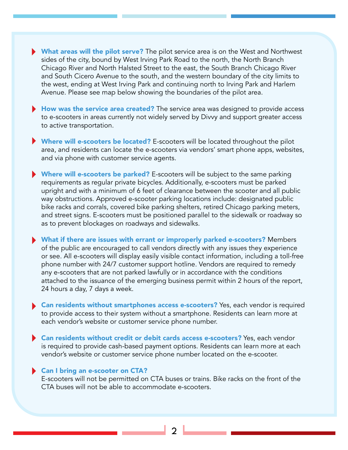- What areas will the pilot serve? The pilot service area is on the West and Northwest sides of the city, bound by West Irving Park Road to the north, the North Branch Chicago River and North Halsted Street to the east, the South Branch Chicago River and South Cicero Avenue to the south, and the western boundary of the city limits to the west, ending at West Irving Park and continuing north to Irving Park and Harlem Avenue. Please see map below showing the boundaries of the pilot area.
- How was the service area created? The service area was designed to provide access to e-scooters in areas currently not widely served by Divvy and support greater access to active transportation.
- Where will e-scooters be located? E-scooters will be located throughout the pilot area, and residents can locate the e-scooters via vendors' smart phone apps, websites, and via phone with customer service agents.
- Where will e-scooters be parked? E-scooters will be subject to the same parking requirements as regular private bicycles. Additionally, e-scooters must be parked upright and with a minimum of 6 feet of clearance between the scooter and all public way obstructions. Approved e-scooter parking locations include: designated public bike racks and corrals, covered bike parking shelters, retired Chicago parking meters, and street signs. E-scooters must be positioned parallel to the sidewalk or roadway so as to prevent blockages on roadways and sidewalks.
- What if there are issues with errant or improperly parked e-scooters? Members of the public are encouraged to call vendors directly with any issues they experience or see. All e-scooters will display easily visible contact information, including a toll-free phone number with 24/7 customer support hotline. Vendors are required to remedy any e-scooters that are not parked lawfully or in accordance with the conditions attached to the issuance of the emerging business permit within 2 hours of the report, 24 hours a day, 7 days a week.
- Can residents without smartphones access e-scooters? Yes, each vendor is required to provide access to their system without a smartphone. Residents can learn more at each vendor's website or customer service phone number.
- Can residents without credit or debit cards access e-scooters? Yes, each vendor is required to provide cash-based payment options. Residents can learn more at each vendor's website or customer service phone number located on the e-scooter.

## Can I bring an e-scooter on CTA?

E-scooters will not be permitted on CTA buses or trains. Bike racks on the front of the CTA buses will not be able to accommodate e-scooters.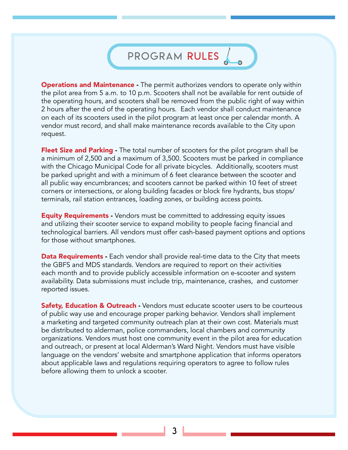## PROGRAM RULES

**Operations and Maintenance -** The permit authorizes vendors to operate only within the pilot area from 5 a.m. to 10 p.m. Scooters shall not be available for rent outside of the operating hours, and scooters shall be removed from the public right of way within 2 hours after the end of the operating hours. Each vendor shall conduct maintenance on each of its scooters used in the pilot program at least once per calendar month. A vendor must record, and shall make maintenance records available to the City upon request.

Fleet Size and Parking - The total number of scooters for the pilot program shall be a minimum of 2,500 and a maximum of 3,500. Scooters must be parked in compliance with the Chicago Municipal Code for all private bicycles. Additionally, scooters must be parked upright and with a minimum of 6 feet clearance between the scooter and all public way encumbrances; and scooters cannot be parked within 10 feet of street corners or intersections, or along building facades or block fire hydrants, bus stops/ terminals, rail station entrances, loading zones, or building access points.

**Equity Requirements** - Vendors must be committed to addressing equity issues and utilizing their scooter service to expand mobility to people facing financial and technological barriers. All vendors must offer cash-based payment options and options for those without smartphones.

**Data Requirements** - Each vendor shall provide real-time data to the City that meets the GBFS and MDS standards. Vendors are required to report on their activities each month and to provide publicly accessible information on e-scooter and system availability. Data submissions must include trip, maintenance, crashes, and customer reported issues.

**Safety, Education & Outreach** - Vendors must educate scooter users to be courteous of public way use and encourage proper parking behavior. Vendors shall implement a marketing and targeted community outreach plan at their own cost. Materials must be distributed to alderman, police commanders, local chambers and community organizations. Vendors must host one community event in the pilot area for education and outreach, or present at local Alderman's Ward Night. Vendors must have visible language on the vendors' website and smartphone application that informs operators about applicable laws and regulations requiring operators to agree to follow rules before allowing them to unlock a scooter.

3